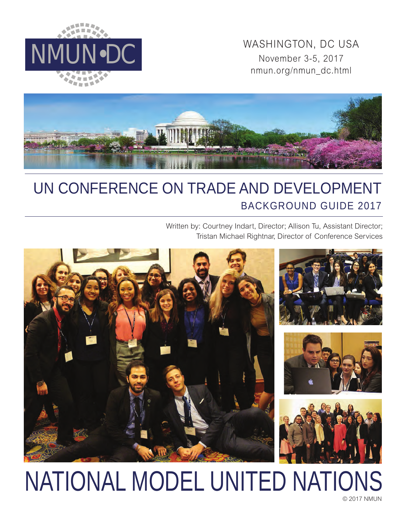

MINUN•DC WASHINGTON, DC USA<br>November 3-5, 2017 November 3-5, 2017 nmun.org/nmun\_dc.html



# UN CONFERENCE ON TRADE AND DEVELOPMENT BACKGROUND GUIDE 2017

Written by: Courtney Indart, Director; Allison Tu, Assistant Director; Tristan Michael Rightnar, Director of Conference Services



## © 2017 NMUN NATIONAL MODEL UNITED NATIONS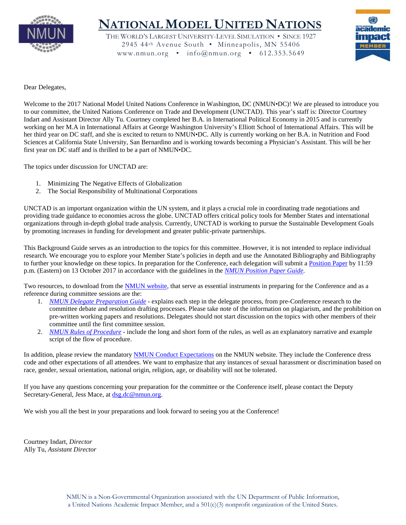

## **NATIONAL MODEL UNITED NATIONS**

THE WORLD'S LARGEST UNIVERSITY-LEVEL SIMULATION • SINCE 1927 2945 44th Avenue South • Minneapolis, MN 55406 www.nmun.org • info@nmun.org • 612.353.5649



Dear Delegates,

Welcome to the 2017 National Model United Nations Conference in Washington, DC (NMUN•DC)! We are pleased to introduce you to our committee, the United Nations Conference on Trade and Development (UNCTAD). This year's staff is: Director Courtney Indart and Assistant Director Ally Tu. Courtney completed her B.A. in International Political Economy in 2015 and is currently working on her M.A in International Affairs at George Washington University's Elliott School of International Affairs. This will be her third year on DC staff, and she is excited to return to NMUN•DC. Ally is currently working on her B.A. in Nutrition and Food Sciences at California State University, San Bernardino and is working towards becoming a Physician's Assistant. This will be her first year on DC staff and is thrilled to be a part of NMUN•DC.

The topics under discussion for UNCTAD are:

- 1. Minimizing The Negative Effects of Globalization
- 2. The Social Responsibility of Multinational Corporations

UNCTAD is an important organization within the UN system, and it plays a crucial role in coordinating trade negotiations and providing trade guidance to economies across the globe. UNCTAD offers critical policy tools for Member States and international organizations through in-depth global trade analysis. Currently, UNCTAD is working to pursue the Sustainable Development Goals by promoting increases in funding for development and greater public-private partnerships.

This Background Guide serves as an introduction to the topics for this committee. However, it is not intended to replace individual research. We encourage you to explore your Member State's policies in depth and use the Annotated Bibliography and Bibliography to further your knowledge on these topics. In preparation for the Conference, each delegation will submit a [Position Paper](http://nmun.org/dc_position_papers.html) by 11:59 p.m. (Eastern) on 13 October 2017 in accordance with the guidelines in the *[NMUN Position Paper Guide](http://nmun.org/downloads/NMUNPPGuide.pdf)*.

Two resources, to download from the [NMUN website,](http://nmun.org/dc_preparations.html) that serve as essential instruments in preparing for the Conference and as a reference during committee sessions are the:

- 1. *[NMUN Delegate Preparation Guide](http://nmun.org/downloads/NMUNDelegatePrepGuide.pdf)* explains each step in the delegate process, from pre-Conference research to the committee debate and resolution drafting processes. Please take note of the information on plagiarism, and the prohibition on pre-written working papers and resolutions. Delegates should not start discussion on the topics with other members of their committee until the first committee session.
- 2. *[NMUN Rules of Procedure](http://nmun.org/downloads/NMUNRules.pdf)* include the long and short form of the rules, as well as an explanatory narrative and example script of the flow of procedure.

In addition, please review the mandatory [NMUN Conduct](http://nmun.org/policies_codes.html) Expectations on the NMUN website. They include the Conference dress code and other expectations of all attendees. We want to emphasize that any instances of sexual harassment or discrimination based on race, gender, sexual orientation, national origin, religion, age, or disability will not be tolerated.

If you have any questions concerning your preparation for the committee or the Conference itself, please contact the Deputy Secretary-General, Jess Mace, at [dsg.dc@nmun.org.](mailto:dsg.dc@nmun.org)

We wish you all the best in your preparations and look forward to seeing you at the Conference!

Courtney Indart, *Director* Ally Tu, *Assistant Director*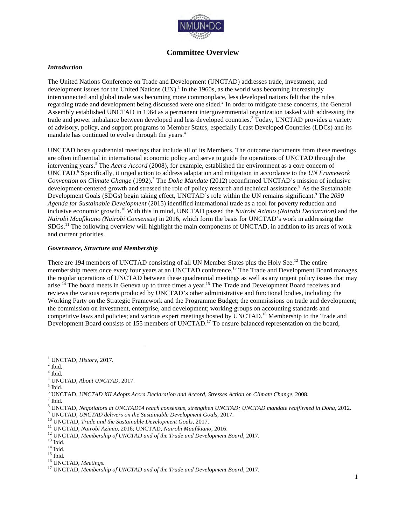

## **Committee Overview**

#### *Introduction*

The United Nations Conference on Trade and Development (UNCTAD) addresses trade, investment, and development issues for the United Nations (UN). <sup>1</sup> In the 1960s, as the world was becoming increasingly interconnected and global trade was becoming more commonplace, less developed nations felt that the rules regarding trade and development being discussed were one sided.<sup>2</sup> In order to mitigate these concerns, the General Assembly established UNCTAD in 1964 as a permanent intergovernmental organization tasked with addressing the trade and power imbalance between developed and less developed countries.<sup>3</sup> Today, UNCTAD provides a variety of advisory, policy, and support programs to Member States, especially Least Developed Countries (LDCs) and its mandate has continued to evolve through the years.<sup>4</sup>

UNCTAD hosts quadrennial meetings that include all of its Members. The outcome documents from these meetings are often influential in international economic policy and serve to guide the operations of UNCTAD through the intervening years.<sup>5</sup> The *Accra Accord* (2008), for example, established the environment as a core concern of UNCTAD.<sup>6</sup> Specifically, it urged action to address adaptation and mitigation in accordance to the *UN Framework Convention on Climate Change* (1992). <sup>7</sup> The *Doha Mandate* (2012) reconfirmed UNCTAD's mission of inclusive development-centered growth and stressed the role of policy research and technical assistance.<sup>8</sup> As the Sustainable Development Goals (SDGs) begin taking effect, UNCTAD's role within the UN remains significant.<sup>9</sup> The 2030 *Agenda for Sustainable Development* (2015) identified international trade as a tool for poverty reduction and inclusive economic growth.<sup>10</sup> With this in mind, UNCTAD passed the *Nairobi Azimio (Nairobi Declaration)* and the *Nairobi Maafikiano (Nairobi Consensus)* in 2016, which form the basis for UNCTAD's work in addressing the SDGs.<sup>11</sup> The following overview will highlight the main components of UNCTAD, in addition to its areas of work and current priorities.

#### *Governance, Structure and Membership*

There are 194 members of UNCTAD consisting of all UN Member States plus the Holy See.<sup>12</sup> The entire membership meets once every four years at an UNCTAD conference.<sup>13</sup> The Trade and Development Board manages the regular operations of UNCTAD between these quadrennial meetings as well as any urgent policy issues that may arise.<sup>14</sup> The board meets in Geneva up to three times a year.<sup>15</sup> The Trade and Development Board receives and reviews the various reports produced by UNCTAD's other administrative and functional bodies, including: the Working Party on the Strategic Framework and the Programme Budget; the commissions on trade and development; the commission on investment, enterprise, and development; working groups on accounting standards and competitive laws and policies; and various expert meetings hosted by UNCTAD.<sup>16</sup> Membership to the Trade and Development Board consists of 155 members of UNCTAD.<sup>17</sup> To ensure balanced representation on the board,

 $\frac{1}{2}$  UNCTAD, *History*, 2017.

 $^3$  Ibid.  $\,$ 

<sup>&</sup>lt;sup>4</sup> UNCTAD, *About UNCTAD*, 2017.

<sup>6</sup> UNCTAD, *UNCTAD XII Adopts Accra Declaration and Accord, Stresses Action on Climate Change*, <sup>2008</sup>*.* <sup>7</sup> Ibid.

<sup>&</sup>lt;sup>8</sup> UNCTAD, Negotiators at UNCTAD14 reach consensus, strengthen UNCTAD: UNCTAD mandate reaffirmed in Doha, 2012.<br>
<sup>9</sup> UNCTAD, UNCTAD delivers on the Sustainable Development Goals, 2017.<br>
<sup>10</sup> UNCTAD, Trade and the Sustain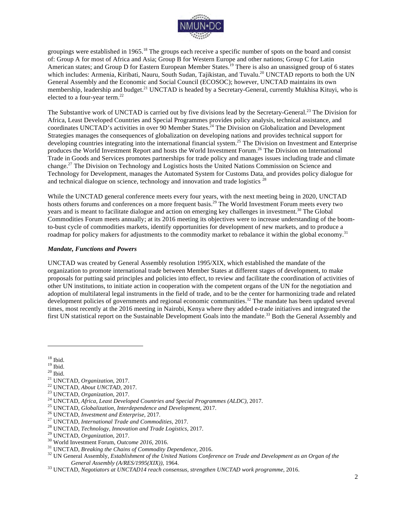

groupings were established in 1965.<sup>18</sup> The groups each receive a specific number of spots on the board and consist of: Group A for most of Africa and Asia; Group B for Western Europe and other nations; Group C for Latin American states; and Group D for Eastern European Member States.<sup>19</sup> There is also an unassigned group of 6 states which includes: Armenia, Kiribati, Nauru, South Sudan, Tajikistan, and Tuvalu.<sup>20</sup> UNCTAD reports to both the UN General Assembly and the Economic and Social Council (ECOSOC); however, UNCTAD maintains its own membership, leadership and budget.<sup>21</sup> UNCTAD is headed by a Secretary-General, currently Mukhisa Kituyi, who is elected to a four-year term.<sup>22</sup>

The Substantive work of UNCTAD is carried out by five divisions lead by the Secretary-General.<sup>23</sup> The Division for Africa, Least Developed Countries and Special Programmes provides policy analysis, technical assistance, and coordinates UNCTAD's activities in over 90 Member States. <sup>24</sup> The Division on Globalization and Development Strategies manages the consequences of globalization on developing nations and provides technical support for developing countries integrating into the international financial system.<sup>25</sup> The Division on Investment and Enterprise produces the World Investment Report and hosts the World Investment Forum. <sup>26</sup> The Division on International Trade in Goods and Services promotes partnerships for trade policy and manages issues including trade and climate change.<sup>27</sup> The Division on Technology and Logistics hosts the United Nations Commission on Science and Technology for Development, manages the Automated System for Customs Data, and provides policy dialogue for and technical dialogue on science, technology and innovation and trade logistics <sup>28</sup>

While the UNCTAD general conference meets every four years, with the next meeting being in 2020, UNCTAD hosts others forums and conferences on a more frequent basis.<sup>29</sup> The World Investment Forum meets every two years and is meant to facilitate dialogue and action on emerging key challenges in investment.<sup>30</sup> The Global Commodities Forum meets annually; at its 2016 meeting its objectives were to increase understanding of the boomto-bust cycle of commodities markets, identify opportunities for development of new markets, and to produce a roadmap for policy makers for adjustments to the commodity market to rebalance it within the global economy.<sup>31</sup>

#### *Mandate, Functions and Powers*

UNCTAD was created by General Assembly resolution 1995/XIX, which established the mandate of the organization to promote international trade between Member States at different stages of development, to make proposals for putting said principles and policies into effect, to review and facilitate the coordination of activities of other UN institutions, to initiate action in cooperation with the competent organs of the UN for the negotiation and adoption of multilateral legal instruments in the field of trade, and to be the center for harmonizing trade and related development policies of governments and regional economic communities.<sup>32</sup> The mandate has been updated several times, most recently at the 2016 meeting in Nairobi, Kenya where they added e-trade initiatives and integrated the first UN statistical report on the Sustainable Development Goals into the mandate.<sup>33</sup> Both the General Assembly and

<sup>&</sup>lt;sup>18</sup> Ibid.<br><sup>20</sup> Ibid.<br><sup>20</sup> Ibid.<br><sup>21</sup> UNCTAD, *Organization*, 2017.<br><sup>23</sup> UNCTAD, *Organization*, 2017.<br><sup>23</sup> UNCTAD, *About UNCTAD*, 2017.<br><sup>24</sup> UNCTAD, *Africa, Least Developed Countries and Special Programmes (ALDC), 2017. General Assembly (A/RES/1995(XIX))*, 1964. <sup>33</sup> UNCTAD, *Negotiators at UNCTAD14 reach consensus, strengthen UNCTAD work programme*, 2016.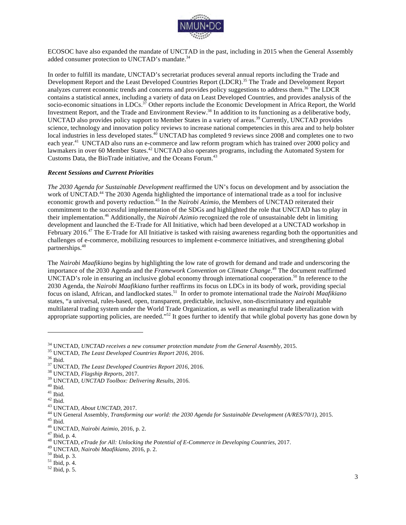

ECOSOC have also expanded the mandate of UNCTAD in the past, including in 2015 when the General Assembly added consumer protection to UNCTAD's mandate.<sup>34</sup>

In order to fulfill its mandate, UNCTAD's secretariat produces several annual reports including the Trade and Development Report and the Least Developed Countries Report (LDCR).<sup>35</sup> The Trade and Development Report analyzes current economic trends and concerns and provides policy suggestions to address them.<sup>36</sup> The LDCR contains a statistical annex, including a variety of data on Least Developed Countries, and provides analysis of the socio-economic situations in LDCs.<sup>37</sup> Other reports include the Economic Development in Africa Report, the World Investment Report, and the Trade and Environment Review.<sup>38</sup> In addition to its functioning as a deliberative body, UNCTAD also provides policy support to Member States in a variety of areas.<sup>39</sup> Currently, UNCTAD provides science, technology and innovation policy reviews to increase national competencies in this area and to help bolster local industries in less developed states.<sup>40</sup> UNCTAD has completed 9 reviews since 2008 and completes one to two each year.<sup>41</sup> UNCTAD also runs an e-commerce and law reform program which has trained over 2000 policy and lawmakers in over 60 Member States.<sup>42</sup> UNCTAD also operates programs, including the Automated System for Customs Data, the BioTrade initiative, and the Oceans Forum.<sup>4</sup>

#### *Recent Sessions and Current Priorities*

*The 2030 Agenda for Sustainable Development* reaffirmed the UN's focus on development and by association the work of UNCTAD.<sup>44</sup> The 2030 Agenda highlighted the importance of international trade as a tool for inclusive economic growth and poverty reduction.<sup>45</sup> In the *Nairobi Azimio*, the Members of UNCTAD reiterated their commitment to the successful implementation of the SDGs and highlighted the role that UNCTAD has to play in their implementation. <sup>46</sup> Additionally, the *Nairobi Azimio* recognized the role of unsustainable debt in limiting development and launched the E-Trade for All Initiative, which had been developed at a UNCTAD workshop in February 2016.<sup>47</sup> The E-Trade for All Initiative is tasked with raising awareness regarding both the opportunities and challenges of e-commerce, mobilizing resources to implement e-commerce initiatives, and strengthening global partnerships.<sup>48</sup>

The *Nairobi Maafikiano* begins by highlighting the low rate of growth for demand and trade and underscoring the importance of the 2030 Agenda and the *Framework Convention on Climate Change*. <sup>49</sup> The document reaffirmed UNCTAD's role in ensuring an inclusive global economy through international cooperation.<sup>50</sup> In reference to the 2030 Agenda, the *Nairobi Maafikiano* further reaffirms its focus on LDCs in its body of work, providing special focus on island, African, and landlocked states. <sup>51</sup> In order to promote international trade the *Nairobi Maafikiano* states, "a universal, rules-based, open, transparent, predictable, inclusive, non-discriminatory and equitable multilateral trading system under the World Trade Organization, as well as meaningful trade liberalization with appropriate supporting policies, are needed."<sup>52</sup> It goes further to identify that while global poverty has gone down by

<sup>&</sup>lt;sup>34</sup> UNCTAD, *UNCTAD receives a new consumer protection mandate from the General Assembly*, 2015.<br><sup>35</sup> UNCTAD, *The Least Developed Countries Report 2016*, 2016.<br><sup>37</sup> UNCTAD, *Flagship Reports*, 2017.<br><sup>39</sup> UNCTAD, *Flagshi*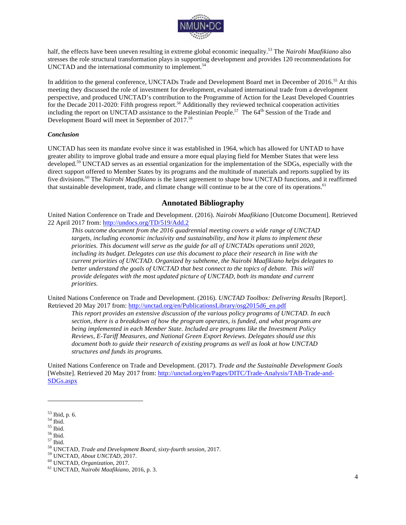

half, the effects have been uneven resulting in extreme global economic inequality.<sup>53</sup> The *Nairobi Maafikiano* also stresses the role structural transformation plays in supporting development and provides 120 recommendations for UNCTAD and the international community to implement.<sup>54</sup>

In addition to the general conference, UNCTADs Trade and Development Board met in December of 2016.<sup>55</sup> At this meeting they discussed the role of investment for development, evaluated international trade from a development perspective, and produced UNCTAD's contribution to the Programme of Action for the Least Developed Countries for the Decade 2011-2020: Fifth progress report.<sup>56</sup> Additionally they reviewed technical cooperation activities including the report on UNCTAD assistance to the Palestinian People.<sup>57</sup> The 64<sup>th</sup> Session of the Trade and Development Board will meet in September of 2017.<sup>58</sup>

#### *Conclusion*

UNCTAD has seen its mandate evolve since it was established in 1964, which has allowed for UNTAD to have greater ability to improve global trade and ensure a more equal playing field for Member States that were less developed.<sup>59</sup> UNCTAD serves as an essential organization for the implementation of the SDGs, especially with the direct support offered to Member States by its programs and the multitude of materials and reports supplied by its five divisions.60 The *Nairobi Maafikiano* is the latest agreement to shape how UNCTAD functions, and it reaffirmed that sustainable development, trade, and climate change will continue to be at the core of its operations.<sup>61</sup>

## **Annotated Bibliography**

United Nation Conference on Trade and Development. (2016). *Nairobi Maafikiano* [Outcome Document]. Retrieved 22 April 2017 from: http://undocs.org/TD/519/Add.2

*This outcome document from the 2016 quadrennial meeting covers a wide range of UNCTAD targets, including economic inclusivity and sustainability, and how it plans to implement these priorities. This document will serve as the guide for all of UNCTADs operations until 2020, including its budget. Delegates can use this document to place their research in line with the current priorities of UNCTAD. Organized by subtheme, the Nairobi Maafikiano helps delegates to better understand the goals of UNCTAD that best connect to the topics of debate. This will provide delegates with the most updated picture of UNCTAD, both its mandate and current priorities.*

United Nations Conference on Trade and Development. (2016). *UNCTAD Toolbox: Delivering Results* [Report]. Retrieved 20 May 2017 from: http://unctad.org/en/PublicationsLibrary/osg2015d6\_en.pdf

*This report provides an extensive discussion of the various policy programs of UNCTAD. In each section, there is a breakdown of how the program operates, is funded, and what programs are being implemented in each Member State. Included are programs like the Investment Policy Reviews, E-Tariff Measures, and National Green Export Reviews. Delegates should use this document both to guide their research of existing programs as well as look at how UNCTAD structures and funds its programs.*

United Nations Conference on Trade and Development. (2017). *Trade and the Sustainable Development Goals* [Website]. Retrieved 20 May 2017 from: http://unctad.org/en/Pages/DITC/Trade-Analysis/TAB-Trade-and-SDGs.aspx

 $^{53}$  Ibid, p. 6.<br>  $^{54}$  Ibid.<br>  $^{55}$  Ibid.<br>  $^{56}$  Ibid.<br>  $^{57}$  Ibid.<br>  $^{57}$  Ibid.<br>  $^{58}$  UNCTAD, *Trade and Development Board, sixty-fourth session,* 2017.<br>  $^{59}$  UNCTAD, *About UNCTAD*, 2017.<br>  $^{60}$  UNCTAD, *Or*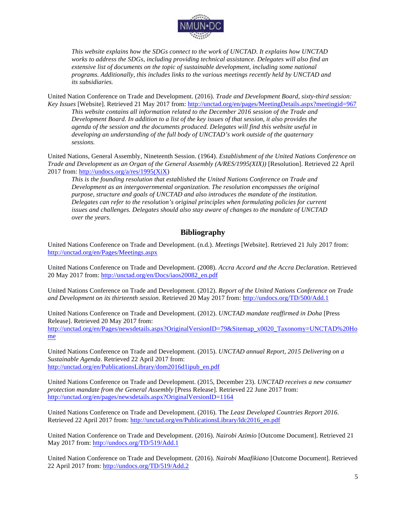

*This website explains how the SDGs connect to the work of UNCTAD. It explains how UNCTAD works to address the SDGs, including providing technical assistance. Delegates will also find an extensive list of documents on the topic of sustainable development, including some national programs. Additionally, this includes links to the various meetings recently held by UNCTAD and its subsidiaries.* 

United Nation Conference on Trade and Development. (2016). *Trade and Development Board, sixty-third session: Key Issues* [Website]. Retrieved 21 May 2017 from: http://unctad.org/en/pages/MeetingDetails.aspx?meetingid=967

*This website contains all information related to the December 2016 session of the Trade and Development Board. In addition to a list of the key issues of that session, it also provides the agenda of the session and the documents produced. Delegates will find this website useful in developing an understanding of the full body of UNCTAD's work outside of the quaternary sessions.* 

United Nations, General Assembly, Nineteenth Session. (1964). *Establishment of the United Nations Conference on Trade and Development as an Organ of the General Assembly (A/RES/1995(XIX))* [Resolution]. Retrieved 22 April 2017 from: http://undocs.org/a/res/1995(XiX)

*This is the founding resolution that established the United Nations Conference on Trade and Development as an intergovernmental organization. The resolution encompasses the original purpose, structure and goals of UNCTAD and also introduces the mandate of the institution. Delegates can refer to the resolution's original principles when formulating policies for current issues and challenges. Delegates should also stay aware of changes to the mandate of UNCTAD over the years.*

## **Bibliography**

United Nations Conference on Trade and Development. (n.d.). *Meetings* [Website]. Retrieved 21 July 2017 from: http://unctad.org/en/Pages/Meetings.aspx

United Nations Conference on Trade and Development. (2008). *Accra Accord and the Accra Declaration*. Retrieved 20 May 2017 from: http://unctad.org/en/Docs/iaos20082\_en.pdf

United Nations Conference on Trade and Development. (2012). *Report of the United Nations Conference on Trade and Development on its thirteenth session*. Retrieved 20 May 2017 from: http://undocs.org/TD/500/Add.1

United Nations Conference on Trade and Development. (2012). *UNCTAD mandate reaffirmed in Doha* [Press Release]. Retrieved 20 May 2017 from: http://unctad.org/en/Pages/newsdetails.aspx?OriginalVersionID=79&Sitemap\_x0020\_Taxonomy=UNCTAD%20Ho me

United Nations Conference on Trade and Development. (2015). *UNCTAD annual Report, 2015 Delivering on a Sustainable Agenda*. Retrieved 22 April 2017 from: http://unctad.org/en/PublicationsLibrary/dom2016d1ipub\_en.pdf

United Nations Conference on Trade and Development. (2015, December 23). *UNCTAD receives a new consumer protection mandate from the General Assembly* [Press Release]. Retrieved 22 June 2017 from: http://unctad.org/en/pages/newsdetails.aspx?OriginalVersionID=1164

United Nations Conference on Trade and Development. (2016). The *Least Developed Countries Report 2016*. Retrieved 22 April 2017 from: http://unctad.org/en/PublicationsLibrary/ldc2016\_en.pdf

United Nation Conference on Trade and Development. (2016). *Nairobi Azimio* [Outcome Document]. Retrieved 21 May 2017 from: http://undocs.org/TD/519/Add.1

United Nation Conference on Trade and Development. (2016). *Nairobi Maafikiano* [Outcome Document]. Retrieved 22 April 2017 from: http://undocs.org/TD/519/Add.2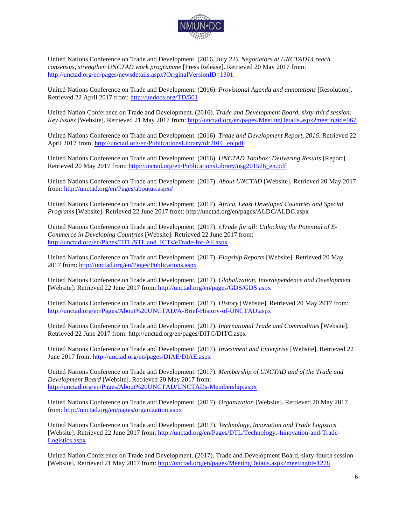

United Nations Conference on Trade and Development. (2016, July 22). *Negotiators at UNCTAD14 reach consensus, strengthen UNCTAD work programme* [Press Release]. Retrieved 20 May 2017 from: http://unctad.org/en/pages/newsdetails.aspx?OriginalVersionID=1301

United Nations Conference on Trade and Development. (2016). *Provisional Agenda and annotations* [Resolution]. Retrieved 22 April 2017 from: http://undocs.org/TD/501

United Nation Conference on Trade and Development. (2016). *Trade and Development Board, sixty-third session: Key Issues* [Website]. Retrieved 21 May 2017 from: http://unctad.org/en/pages/MeetingDetails.aspx?meetingid=967

United Nations Conference on Trade and Development. (2016). *Trade and Development Report, 2016*. Retrieved 22 April 2017 from: http://unctad.org/en/PublicationsLibrary/tdr2016\_en.pdf

United Nations Conference on Trade and Development. (2016). *UNCTAD Toolbox: Delivering Results* [Report]. Retrieved 20 May 2017 from: http://unctad.org/en/PublicationsLibrary/osg2015d6\_en.pdf

United Nations Conference on Trade and Development. (2017). *About UNCTAD* [Website]. Retrieved 20 May 2017 from: http://unctad.org/en/Pages/aboutus.aspx#

United Nations Conference on Trade and Development. (2017). *Africa, Least Developed Countries and Special Programs* [Website]. Retrieved 22 June 2017 from: http://unctad.org/en/pages/ALDC/ALDC.aspx

United Nations Conference on Trade and Development. (2017). *eTrade for all: Unlocking the Potential of E-Commerce in Developing Countries* [Website]. Retrieved 22 June 2017 from: http://unctad.org/en/Pages/DTL/STI\_and\_ICTs/eTrade-for-All.aspx

United Nations Conference on Trade and Development. (2017). *Flagship Reports* [Website]. Retrieved 20 May 2017 from: http://unctad.org/en/Pages/Publications.aspx

United Nations Conference on Trade and Development. (2017). *Globalization, Interdependence and Development*  [Website]. Retrieved 22 June 2017 from: http://unctad.org/en/pages/GDS/GDS.aspx

United Nations Conference on Trade and Development. (2017). *History* [Website]. Retrieved 20 May 2017 from: http://unctad.org/en/Pages/About%20UNCTAD/A-Brief-History-of-UNCTAD.aspx

United Nations Conference on Trade and Development. (2017). *International Trade and Commodities* [Website]. Retrieved 22 June 2017 from: http://unctad.org/en/pages/DITC/DITC.aspx

United Nations Conference on Trade and Development. (2017). *Investment and Enterprise* [Website]. Retrieved 22 June 2017 from: http://unctad.org/en/pages/DIAE/DIAE.aspx

United Nations Conference on Trade and Development. (2017). *Membership of UNCTAD and of the Trade and Development Board* [Website]. Retrieved 20 May 2017 from: http://unctad.org/en/Pages/About%20UNCTAD/UNCTADs-Membership.aspx

United Nations Conference on Trade and Development. (2017). *Organization* [Website]. Retrieved 20 May 2017 from: http://unctad.org/en/pages/organization.aspx

United Nations Conference on Trade and Development. (2017). *Technology, Innovation and Trade Logistics*  [Website]. Retrieved 22 June 2017 from: http://unctad.org/en/Pages/DTL/Technology,-Innovation-and-Trade-Logistics.aspx

United Nation Conference on Trade and Development. (2017). Trade and Development Board, sixty-fourth session [Website]. Retrieved 21 May 2017 from: http://unctad.org/en/pages/MeetingDetails.aspx?meetingid=1278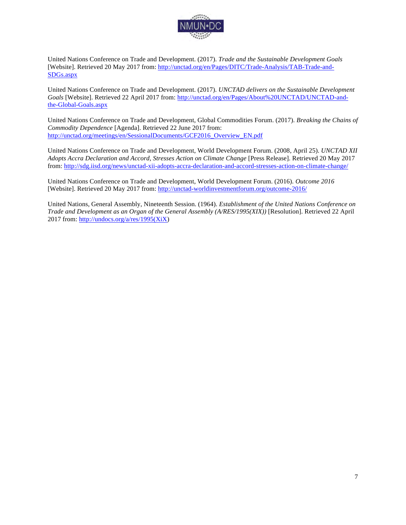

United Nations Conference on Trade and Development. (2017). *Trade and the Sustainable Development Goals* [Website]. Retrieved 20 May 2017 from: http://unctad.org/en/Pages/DITC/Trade-Analysis/TAB-Trade-and-SDGs.aspx

United Nations Conference on Trade and Development. (2017). *UNCTAD delivers on the Sustainable Development Goals* [Website]. Retrieved 22 April 2017 from: http://unctad.org/en/Pages/About%20UNCTAD/UNCTAD-andthe-Global-Goals.aspx

United Nations Conference on Trade and Development, Global Commodities Forum. (2017). *Breaking the Chains of Commodity Dependence* [Agenda]. Retrieved 22 June 2017 from: http://unctad.org/meetings/en/SessionalDocuments/GCF2016\_Overview\_EN.pdf

United Nations Conference on Trade and Development, World Development Forum. (2008, April 25). *UNCTAD XII Adopts Accra Declaration and Accord, Stresses Action on Climate Change* [Press Release]. Retrieved 20 May 2017 from: http://sdg.iisd.org/news/unctad-xii-adopts-accra-declaration-and-accord-stresses-action-on-climate-change/

United Nations Conference on Trade and Development, World Development Forum. (2016). *Outcome 2016* [Website]. Retrieved 20 May 2017 from: http://unctad-worldinvestmentforum.org/outcome-2016/

United Nations, General Assembly, Nineteenth Session. (1964). *Establishment of the United Nations Conference on Trade and Development as an Organ of the General Assembly (A/RES/1995(XIX))* [Resolution]. Retrieved 22 April 2017 from: http://undocs.org/a/res/1995(XiX)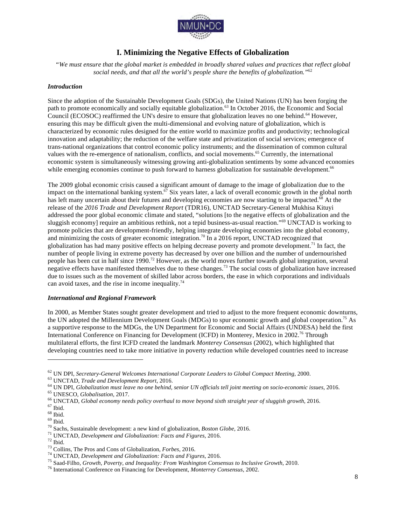

## **I. Minimizing the Negative Effects of Globalization**

*"We must ensure that the global market is embedded in broadly shared values and practices that reflect global social needs, and that all the world's people share the benefits of globalization."*<sup>62</sup>

#### *Introduction*

Since the adoption of the Sustainable Development Goals (SDGs), the United Nations (UN) has been forging the path to promote economically and socially equitable globalization.63 In October 2016, the Economic and Social Council (ECOSOC) reaffirmed the UN's desire to ensure that globalization leaves no one behind.<sup>64</sup> However, ensuring this may be difficult given the multi-dimensional and evolving nature of globalization, which is characterized by economic rules designed for the entire world to maximize profits and productivity; technological innovation and adaptability; the reduction of the welfare state and privatization of social services; emergence of trans-national organizations that control economic policy instruments; and the dissemination of common cultural values with the re-emergence of nationalism, conflicts, and social movements.<sup>65</sup> Currently, the international economic system is simultaneously witnessing growing anti-globalization sentiments by some advanced economies while emerging economies continue to push forward to harness globalization for sustainable development.<sup>66</sup>

The 2009 global economic crisis caused a significant amount of damage to the image of globalization due to the impact on the international banking system. $\frac{67}{12}$  Six years later, a lack of overall economic growth in the global north has left many uncertain about their futures and developing economies are now starting to be impacted.<sup>68</sup> At the release of the *2016 Trade and Development Report* (TDR16), UNCTAD Secretary-General Mukhisa Kituyi addressed the poor global economic climate and stated, "solutions [to the negative effects of globalization and the sluggish economy] require an ambitious rethink, not a tepid business-as-usual reaction."<sup>69</sup> UNCTAD is working to promote policies that are development-friendly, helping integrate developing economies into the global economy, and minimizing the costs of greater economic integration.<sup>70</sup> In a 2016 report, UNCTAD recognized that globalization has had many positive effects on helping decrease poverty and promote development.<sup>71</sup> In fact, the number of people living in extreme poverty has decreased by over one billion and the number of undernourished people has been cut in half since 1990.<sup>72</sup> However, as the world moves further towards global integration, several negative effects have manifested themselves due to these changes.<sup>73</sup> The social costs of globalization have increased due to issues such as the movement of skilled labor across borders, the ease in which corporations and individuals can avoid taxes, and the rise in income inequality.<sup>74</sup>

#### *International and Regional Framework*

In 2000, as Member States sought greater development and tried to adjust to the more frequent economic downturns, the UN adopted the Millennium Development Goals (MDGs) to spur economic growth and global cooperation.<sup>75</sup> As a supportive response to the MDGs, the UN Department for Economic and Social Affairs (UNDESA) held the first International Conference on Financing for Development (ICFD) in Monterey, Mexico in 2002.<sup>76</sup> Through multilateral efforts, the first ICFD created the landmark *Monterey Consensus* (2002), which highlighted that developing countries need to take more initiative in poverty reduction while developed countries need to increase

<sup>&</sup>lt;sup>62</sup> UN DPI, *Secretary-General Welcomes International Corporate Leaders to Global Compact Meeting, 2000.<br><sup>64</sup> UN CTAD, <i>Trade and Development Report,* 2016.<br><sup>64</sup> UN DPI, *Globalization must leave no one behind, senior UN*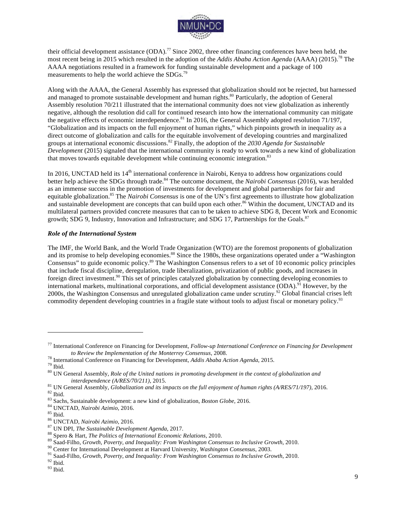

their official development assistance  $(ODA)$ .<sup>77</sup> Since 2002, three other financing conferences have been held, the most recent being in 2015 which resulted in the adoption of the *Addis Ababa Action Agenda* (AAAA) (2015).<sup>78</sup> The AAAA negotiations resulted in a framework for funding sustainable development and a package of 100 measurements to help the world achieve the SDGs.<sup>79</sup>

Along with the AAAA, the General Assembly has expressed that globalization should not be rejected, but harnessed and managed to promote sustainable development and human rights.<sup>80</sup> Particularly, the adoption of General Assembly resolution 70/211 illustrated that the international community does not view globalization as inherently negative, although the resolution did call for continued research into how the international community can mitigate the negative effects of economic interdependence.<sup>81</sup> In 2016, the General Assembly adopted resolution 71/197, "Globalization and its impacts on the full enjoyment of human rights," which pinpoints growth in inequality as a direct outcome of globalization and calls for the equitable involvement of developing countries and marginalized groups at international economic discussions.<sup>82</sup> Finally, the adoption of the *2030 Agenda for Sustainable Development* (2015) signaled that the international community is ready to work towards a new kind of globalization that moves towards equitable development while continuing economic integration.<sup>83</sup>

In 2016, UNCTAD held its 14<sup>th</sup> international conference in Nairobi, Kenya to address how organizations could better help achieve the SDGs through trade.<sup>84</sup> The outcome document, the *Nairobi Consensus* (2016), was heralded as an immense success in the promotion of investments for development and global partnerships for fair and equitable globalization.<sup>85</sup> The *Nairobi Consensus* is one of the UN's first agreements to illustrate how globalization and sustainable development are concepts that can build upon each other.<sup>86</sup> Within the document, UNCTAD and its multilateral partners provided concrete measures that can to be taken to achieve SDG 8, Decent Work and Economic growth; SDG 9, Industry, Innovation and Infrastructure; and SDG 17, Partnerships for the Goals.<sup>87</sup>

#### *Role of the International System*

The IMF, the World Bank, and the World Trade Organization (WTO) are the foremost proponents of globalization and its promise to help developing economies.<sup>88</sup> Since the 1980s, these organizations operated under a "Washington Consensus" to guide economic policy.<sup>89</sup> The Washington Consensus refers to a set of 10 economic policy principles that include fiscal discipline, deregulation, trade liberalization, privatization of public goods, and increases in foreign direct investment.90 This set of principles catalyzed globalization by connecting developing economies to international markets, multinational corporations, and official development assistance (ODA).<sup>91</sup> However, by the 2000s, the Washington Consensus and unregulated globalization came under scrutiny.<sup>92</sup> Global financial crises left commodity dependent developing countries in a fragile state without tools to adjust fiscal or monetary policy.<sup>93</sup>

<sup>77</sup> International Conference on Financing for Development, *Follow-up International Conference on Financing for Development* 

to Review the Implementation of the Monterrey Consensus, 2008.<br><sup>78</sup> International Conference on Financing for Development, *Addis Ababa Action Agenda*, 2015.<br><sup>79</sup> Ibid.<br><sup>80</sup> UN General Assembly, *Role of the United nation* 

<sup>&</sup>lt;sup>81</sup> UN General Assembly, *Globalization and its impacts on the full enjoyment of human rights (A/RES/71/197)*, 2016.<br><sup>82</sup> UN General Assembly, *Globalization and its impacts on the full enjoyment of human rights (A/RES/71*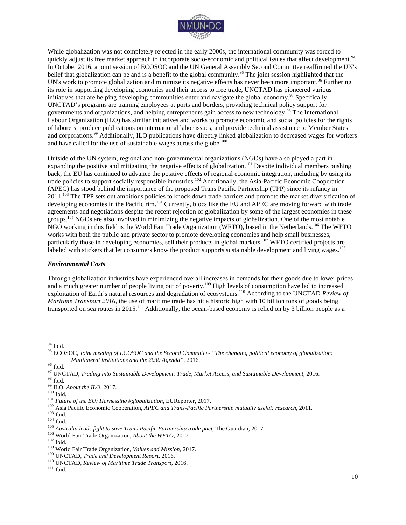

While globalization was not completely rejected in the early 2000s, the international community was forced to quickly adjust its free market approach to incorporate socio-economic and political issues that affect development.<sup>94</sup> In October 2016, a joint session of ECOSOC and the UN General Assembly Second Committee reaffirmed the UN's belief that globalization can be and is a benefit to the global community.<sup>95</sup> The joint session highlighted that the UN's work to promote globalization and minimize its negative effects has never been more important.<sup>96</sup> Furthering its role in supporting developing economies and their access to free trade, UNCTAD has pioneered various initiatives that are helping developing communities enter and navigate the global economy.<sup>97</sup> Specifically, UNCTAD's programs are training employees at ports and borders, providing technical policy support for governments and organizations, and helping entrepreneurs gain access to new technology.98 The International Labour Organization (ILO) has similar initiatives and works to promote economic and social policies for the rights of laborers, produce publications on international labor issues, and provide technical assistance to Member States and corporations.99 Additionally, ILO publications have directly linked globalization to decreased wages for workers and have called for the use of sustainable wages across the globe.<sup>100</sup>

Outside of the UN system, regional and non-governmental organizations (NGOs) have also played a part in expanding the positive and mitigating the negative effects of globalization.<sup>101</sup> Despite individual members pushing back, the EU has continued to advance the positive effects of regional economic integration, including by using its trade policies to support socially responsible industries.<sup>102</sup> Additionally, the Asia-Pacific Economic Cooperation (APEC) has stood behind the importance of the proposed Trans Pacific Partnership (TPP) since its infancy in 2011.<sup>103</sup> The TPP sets out ambitious policies to knock down trade barriers and promote the market diversification of developing economies in the Pacific rim.<sup>104</sup> Currently, blocs like the EU and APEC are moving forward with trade agreements and negotiations despite the recent rejection of globalization by some of the largest economies in these groups.<sup>105</sup> NGOs are also involved in minimizing the negative impacts of globalization. One of the most notable NGO working in this field is the World Fair Trade Organization (WFTO), based in the Netherlands.<sup>106</sup> The WFTO works with both the public and private sector to promote developing economies and help small businesses, particularly those in developing economies, sell their products in global markets.<sup>107</sup> WFTO certified projects are labeled with stickers that let consumers know the product supports sustainable development and living wages.<sup>108</sup>

#### *Environmental Costs*

Through globalization industries have experienced overall increases in demands for their goods due to lower prices and a much greater number of people living out of poverty.<sup>109</sup> High levels of consumption have led to increased exploitation of Earth's natural resources and degradation of ecosystems.<sup>110</sup> According to the UNCTAD *Review of Maritime Transport 2016*, the use of maritime trade has hit a historic high with 10 billion tons of goods being transported on sea routes in  $2015$ .<sup>111</sup> Additionally, the ocean-based economy is relied on by 3 billion people as a

<sup>&</sup>lt;sup>94</sup> Ibid.<br><sup>95</sup> ECOSOC, *Joint meeting of ECOSOC and the Second Committee- "The changing political economy of globalization:* 

Multilateral institutions and the 2030 Agenda", 2016.<br><sup>96</sup> Ibid.<br><sup>97</sup> UNCTAD, *Trading into Sustainable Development: Trade, Market Access, and Sustainable Development, 2016.<br><sup>98</sup> Ibid.<br><sup>99</sup> UDCA<i>bout the ILO*, 2017.<br><sup>109</sup>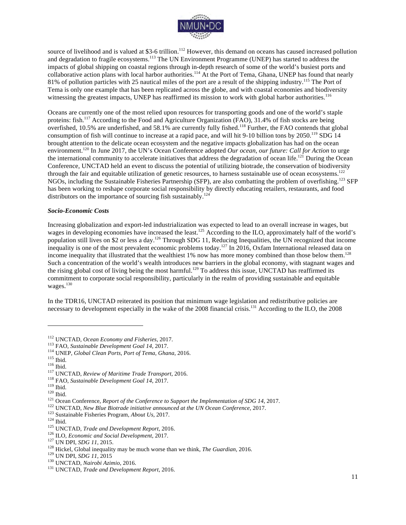

source of livelihood and is valued at \$3-6 trillion.<sup>112</sup> However, this demand on oceans has caused increased pollution and degradation to fragile ecosystems.<sup>113</sup> The UN Environment Programme (UNEP) has started to address the impacts of global shipping on coastal regions through in-depth research of some of the world's busiest ports and collaborative action plans with local harbor authorities.<sup>114</sup> At the Port of Tema, Ghana, UNEP has found that nearly 81% of pollution particles with 25 nautical miles of the port are a result of the shipping industry.<sup>115</sup> The Port of Tema is only one example that has been replicated across the globe, and with coastal economies and biodiversity witnessing the greatest impacts, UNEP has reaffirmed its mission to work with global harbor authorities.<sup>116</sup>

Oceans are currently one of the most relied upon resources for transporting goods and one of the world's staple proteins: fish.<sup>117</sup> According to the Food and Agriculture Organization (FAO), 31.4% of fish stocks are being overfished, 10.5% are underfished, and 58.1% are currently fully fished.<sup>118</sup> Further, the FAO contends that global consumption of fish will continue to increase at a rapid pace, and will hit 9-10 billion tons by 2050.<sup>119</sup> SDG 14 brought attention to the delicate ocean ecosystem and the negative impacts globalization has had on the ocean environment.<sup>120</sup> In June 2017, the UN's Ocean Conference adopted *Our ocean, our future: Call for Action* to urge the international community to accelerate initiatives that address the degradation of ocean life.<sup>121</sup> During the Ocean Conference, UNCTAD held an event to discuss the potential of utilizing biotrade, the conservation of biodiversity through the fair and equitable utilization of genetic resources, to harness sustainable use of ocean ecosystems.<sup>122</sup> NGOs, including the Sustainable Fisheries Partnership (SFP), are also combatting the problem of overfishing.<sup>123</sup> SFP has been working to reshape corporate social responsibility by directly educating retailers, restaurants, and food distributors on the importance of sourcing fish sustainably.<sup>124</sup>

#### *Socio-Economic Costs*

Increasing globalization and export-led industrialization was expected to lead to an overall increase in wages, but wages in developing economies have increased the least.<sup>125</sup> According to the ILO, approximately half of the world's population still lives on \$2 or less a day.126 Through SDG 11, Reducing Inequalities, the UN recognized that income inequality is one of the most prevalent economic problems today.127 In 2016, Oxfam International released data on income inequality that illustrated that the wealthiest  $1\%$  now has more money combined than those below them.<sup>128</sup> Such a concentration of the world's wealth introduces new barriers in the global economy, with stagnant wages and the rising global cost of living being the most harmful.<sup>129</sup> To address this issue, UNCTAD has reaffirmed its commitment to corporate social responsibility, particularly in the realm of providing sustainable and equitable wages.<sup>130</sup>

In the TDR16, UNCTAD reiterated its position that minimum wage legislation and redistributive policies are necessary to development especially in the wake of the 2008 financial crisis.<sup>131</sup> According to the ILO, the 2008

<sup>&</sup>lt;sup>112</sup> UNCTAD, *Ocean Economy and Fisheries,* 2017.<br><sup>113</sup> FAO, *Sustainable Development Goal 14*, 2017.<br><sup>114</sup> UNEP, *Global Clean Ports, Port of Tema, Ghana,* 2016.<br><sup>115</sup> UNCTAD, *Review of Maritime Trade Transport,* 2016.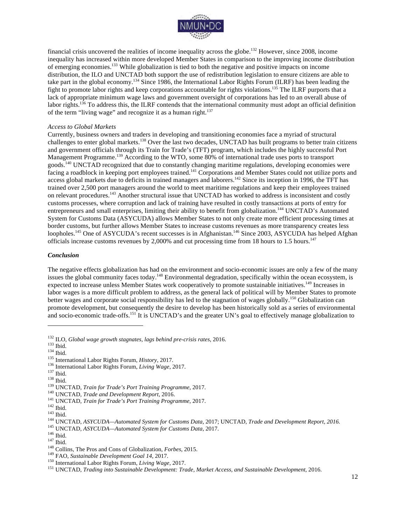

financial crisis uncovered the realities of income inequality across the globe.<sup>132</sup> However, since 2008, income inequality has increased within more developed Member States in comparison to the improving income distribution of emerging economies.133 While globalization is tied to both the negative and positive impacts on income distribution, the ILO and UNCTAD both support the use of redistribution legislation to ensure citizens are able to take part in the global economy.<sup>134</sup> Since 1986, the International Labor Rights Forum (ILRF) has been leading the fight to promote labor rights and keep corporations accountable for rights violations.135 The ILRF purports that a lack of appropriate minimum wage laws and government oversight of corporations has led to an overall abuse of labor rights.<sup>136</sup> To address this, the ILRF contends that the international community must adopt an official definition of the term "living wage" and recognize it as a human right.<sup>137</sup>

#### *Access to Global Markets*

Currently, business owners and traders in developing and transitioning economies face a myriad of structural challenges to enter global markets.<sup>138</sup> Over the last two decades, UNCTAD has built programs to better train citizens and government officials through its Train for Trade's (TFT) program, which includes the highly successful Port Management Programme.<sup>139</sup> According to the WTO, some 80% of international trade uses ports to transport goods.<sup>140</sup> UNCTAD recognized that due to constantly changing maritime regulations, developing economies were facing a roadblock in keeping port employees trained.<sup>141</sup> Corporations and Member States could not utilize ports and access global markets due to deficits in trained managers and laborers.142 Since its inception in 1996, the TFT has trained over 2,500 port managers around the world to meet maritime regulations and keep their employees trained on relevant procedures.<sup>143</sup> Another structural issue that UNCTAD has worked to address is inconsistent and costly customs processes, where corruption and lack of training have resulted in costly transactions at ports of entry for entrepreneurs and small enterprises, limiting their ability to benefit from globalization.<sup>144</sup> UNCTAD's Automated System for Customs Data (ASYCUDA) allows Member States to not only create more efficient processing times at border customs, but further allows Member States to increase customs revenues as more transparency creates less loopholes.<sup>145</sup> One of ASYCUDA's recent successes is in Afghanistan.<sup>146</sup> Since 2003, ASYCUDA has helped Afghan officials increase customs revenues by 2,000% and cut processing time from 18 hours to 1.5 hours.<sup>147</sup>

#### *Conclusion*

The negative effects globalization has had on the environment and socio-economic issues are only a few of the many issues the global community faces today.<sup>148</sup> Environmental degradation, specifically within the ocean ecosystem, is expected to increase unless Member States work cooperatively to promote sustainable initiatives.<sup>149</sup> Increases in labor wages is a more difficult problem to address, as the general lack of political will by Member States to promote better wages and corporate social responsibility has led to the stagnation of wages globally.<sup>150</sup> Globalization can promote development, but consequently the desire to develop has been historically sold as a series of environmental and socio-economic trade-offs.<sup>151</sup> It is UNCTAD's and the greater UN's goal to effectively manage globalization to

<sup>&</sup>lt;sup>132</sup> ILO, *Global wage growth stagnates, lags behind pre-crisis rates,* 2016.<br><sup>133</sup> Ibid.<br><sup>134</sup> Ibid.<br><sup>134</sup> Ibid.<br><sup>136</sup> International Labor Rights Forum, *History*, 2017.<br><sup>137</sup> Ibid.<br><sup>139</sup> Ibid.<br><sup>139</sup> Ibid.<br><sup>139</sup> UNCTAD,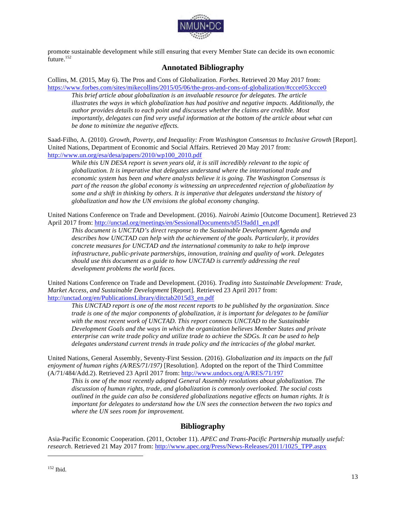

promote sustainable development while still ensuring that every Member State can decide its own economic future.<sup>152</sup>

## **Annotated Bibliography**

Collins, M. (2015, May 6). The Pros and Cons of Globalization. *Forbes*. Retrieved 20 May 2017 from: https://www.forbes.com/sites/mikecollins/2015/05/06/the-pros-and-cons-of-globalization/#ccce053ccce0

*This brief article about globalization is an invaluable resource for delegates. The article illustrates the ways in which globalization has had positive and negative impacts. Additionally, the author provides details to each point and discusses whether the claims are credible. Most importantly, delegates can find very useful information at the bottom of the article about what can be done to minimize the negative effects.* 

Saad-Filho, A. (2010). *Growth, Poverty, and Inequality: From Washington Consensus to Inclusive Growth* [Report]. United Nations, Department of Economic and Social Affairs. Retrieved 20 May 2017 from: http://www.un.org/esa/desa/papers/2010/wp100\_2010.pdf

*While this UN DESA report is seven years old, it is still incredibly relevant to the topic of globalization. It is imperative that delegates understand where the international trade and economic system has been and where analysts believe it is going. The Washington Consensus is part of the reason the global economy is witnessing an unprecedented rejection of globalization by some and a shift in thinking by others. It is imperative that delegates understand the history of globalization and how the UN envisions the global economy changing.* 

United Nations Conference on Trade and Development. (2016). *Nairobi Azimio* [Outcome Document]. Retrieved 23 April 2017 from: http://unctad.org/meetings/en/SessionalDocuments/td519add1\_en.pdf

*This document is UNCTAD's direct response to the Sustainable Development Agenda and describes how UNCTAD can help with the achievement of the goals. Particularly, it provides concrete measures for UNCTAD and the international community to take to help improve infrastructure, public-private partnerships, innovation, training and quality of work. Delegates should use this document as a guide to how UNCTAD is currently addressing the real development problems the world faces.* 

United Nations Conference on Trade and Development. (2016). *Trading into Sustainable Development: Trade, Market Access, and Sustainable Development* [Report]. Retrieved 23 April 2017 from: http://unctad.org/en/PublicationsLibrary/ditctab2015d3\_en.pdf

*This UNCTAD report is one of the most recent reports to be published by the organization. Since trade is one of the major components of globalization, it is important for delegates to be familiar with the most recent work of UNCTAD. This report connects UNCTAD to the Sustainable Development Goals and the ways in which the organization believes Member States and private enterprise can write trade policy and utilize trade to achieve the SDGs. It can be used to help delegates understand current trends in trade policy and the intricacies of the global market.* 

United Nations, General Assembly, Seventy-First Session. (2016). *Globalization and its impacts on the full enjoyment of human rights (A/RES/71/197)* [Resolution]. Adopted on the report of the Third Committee (A/71/484/Add.2). Retrieved 23 April 2017 from: http://www.undocs.org/A/RES/71/197

*This is one of the most recently adopted General Assembly resolutions about globalization. The discussion of human rights, trade, and globalization is commonly overlooked. The social costs outlined in the guide can also be considered globalizations negative effects on human rights. It is important for delegates to understand how the UN sees the connection between the two topics and where the UN sees room for improvement.* 

## **Bibliography**

Asia-Pacific Economic Cooperation. (2011, October 11). *APEC and Trans-Pacific Partnership mutually useful: research*. Retrieved 21 May 2017 from: http://www.apec.org/Press/News-Releases/2011/1025\_TPP.aspx

<sup>152</sup> Ibid.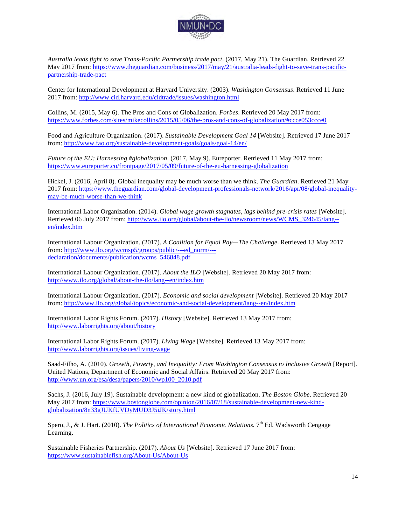

*Australia leads fight to save Trans-Pacific Partnership trade pact*. (2017, May 21). The Guardian. Retrieved 22 May 2017 from: https://www.theguardian.com/business/2017/may/21/australia-leads-fight-to-save-trans-pacificpartnership-trade-pact

Center for International Development at Harvard University. (2003). *Washington Consensus*. Retrieved 11 June 2017 from: http://www.cid.harvard.edu/cidtrade/issues/washington.html

Collins, M. (2015, May 6). The Pros and Cons of Globalization. *Forbes*. Retrieved 20 May 2017 from: https://www.forbes.com/sites/mikecollins/2015/05/06/the-pros-and-cons-of-globalization/#ccce053ccce0

Food and Agriculture Organization. (2017). *Sustainable Development Goal 14* [Website]. Retrieved 17 June 2017 from: http://www.fao.org/sustainable-development-goals/goals/goal-14/en/

*Future of the EU: Harnessing #globalization*. (2017, May 9). Eureporter. Retrieved 11 May 2017 from: https://www.eureporter.co/frontpage/2017/05/09/future-of-the-eu-harnessing-globalization

Hickel, J. (2016, April 8). Global inequality may be much worse than we think. *The Guardian*. Retrieved 21 May 2017 from: https://www.theguardian.com/global-development-professionals-network/2016/apr/08/global-inequalitymay-be-much-worse-than-we-think

International Labor Organization. (2014). *Global wage growth stagnates, lags behind pre-crisis rates* [Website]. Retrieved 06 July 2017 from: http://www.ilo.org/global/about-the-ilo/newsroom/news/WCMS\_324645/lang-en/index.htm

International Labour Organization. (2017). *A Coalition for Equal Pay—The Challenge*. Retrieved 13 May 2017 from: http://www.ilo.org/wcmsp5/groups/public/---ed\_norm/-- declaration/documents/publication/wcms\_546848.pdf

International Labour Organization. (2017). *About the ILO* [Website]. Retrieved 20 May 2017 from: http://www.ilo.org/global/about-the-ilo/lang--en/index.htm

International Labour Organization. (2017). *Economic and social development* [Website]. Retrieved 20 May 2017 from: http://www.ilo.org/global/topics/economic-and-social-development/lang--en/index.htm

International Labor Rights Forum. (2017). *History* [Website]. Retrieved 13 May 2017 from: http://www.laborrights.org/about/history

International Labor Rights Forum. (2017). *Living Wage* [Website]. Retrieved 13 May 2017 from: http://www.laborrights.org/issues/living-wage

Saad-Filho, A. (2010). *Growth, Poverty, and Inequality: From Washington Consensus to Inclusive Growth* [Report]. United Nations, Department of Economic and Social Affairs. Retrieved 20 May 2017 from: http://www.un.org/esa/desa/papers/2010/wp100\_2010.pdf

Sachs, J. (2016, July 19). Sustainable development: a new kind of globalization. *The Boston Globe*. Retrieved 20 May 2017 from: https://www.bostonglobe.com/opinion/2016/07/18/sustainable-development-new-kindglobalization/8n33gJUKfUVDyMUD3J5iJK/story.html

Spero, J., & J. Hart. (2010). *The Politics of International Economic Relations*. 7<sup>th</sup> Ed. Wadsworth Cengage Learning.

Sustainable Fisheries Partnership. (2017). *About Us* [Website]. Retrieved 17 June 2017 from: https://www.sustainablefish.org/About-Us/About-Us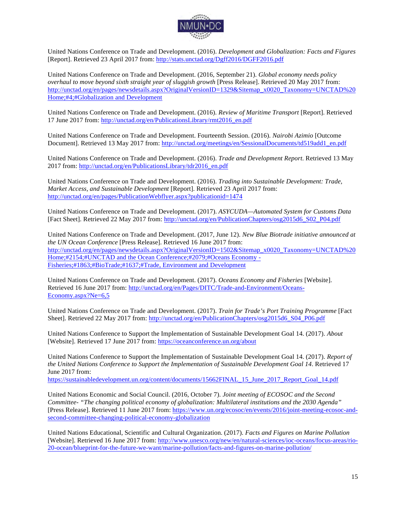

United Nations Conference on Trade and Development. (2016). *Development and Globalization: Facts and Figures*  [Report]. Retrieved 23 April 2017 from: http://stats.unctad.org/Dgff2016/DGFF2016.pdf

United Nations Conference on Trade and Development. (2016, September 21). *Global economy needs policy overhaul to move beyond sixth straight year of sluggish growth* [Press Release]. Retrieved 20 May 2017 from: http://unctad.org/en/pages/newsdetails.aspx?OriginalVersionID=1329&Sitemap\_x0020\_Taxonomy=UNCTAD%20 Home;#4;#Globalization and Development

United Nations Conference on Trade and Development. (2016). *Review of Maritime Transport* [Report]. Retrieved 17 June 2017 from: http://unctad.org/en/PublicationsLibrary/rmt2016\_en.pdf

United Nations Conference on Trade and Development. Fourteenth Session. (2016). *Nairobi Azimio* [Outcome Document]. Retrieved 13 May 2017 from: http://unctad.org/meetings/en/SessionalDocuments/td519add1\_en.pdf

United Nations Conference on Trade and Development. (2016). *Trade and Development Report*. Retrieved 13 May 2017 from: http://unctad.org/en/PublicationsLibrary/tdr2016\_en.pdf

United Nations Conference on Trade and Development. (2016). *Trading into Sustainable Development: Trade, Market Access, and Sustainable Development* [Report]. Retrieved 23 April 2017 from: http://unctad.org/en/pages/PublicationWebflyer.aspx?publicationid=1474

United Nations Conference on Trade and Development. (2017). *ASYCUDA—Automated System for Customs Data*  [Fact Sheet]. Retrieved 22 May 2017 from: http://unctad.org/en/PublicationChapters/osg2015d6\_S02\_P04.pdf

United Nations Conference on Trade and Development. (2017, June 12). *New Blue Biotrade initiative announced at the UN Ocean Conference* [Press Release]. Retrieved 16 June 2017 from: http://unctad.org/en/pages/newsdetails.aspx?OriginalVersionID=1502&Sitemap\_x0020\_Taxonomy=UNCTAD%20\_ Home;#2154;#UNCTAD and the Ocean Conference;#2079;#Oceans Economy - Fisheries;#1863;#BioTrade;#1637;#Trade, Environment and Development

United Nations Conference on Trade and Development. (2017). *Oceans Economy and Fisheries* [Website]. Retrieved 16 June 2017 from: http://unctad.org/en/Pages/DITC/Trade-and-Environment/Oceans-Economy.aspx?Ne=6,5

United Nations Conference on Trade and Development. (2017). *Train for Trade's Port Training Programme* [Fact Sheet]. Retrieved 22 May 2017 from: http://unctad.org/en/PublicationChapters/osg2015d6\_S04\_P06.pdf

United Nations Conference to Support the Implementation of Sustainable Development Goal 14. (2017). *About*  [Website]. Retrieved 17 June 2017 from: https://oceanconference.un.org/about

United Nations Conference to Support the Implementation of Sustainable Development Goal 14. (2017). *Report of the United Nations Conference to Support the Implementation of Sustainable Development Goal 14*. Retrieved 17 June 2017 from:

https://sustainabledevelopment.un.org/content/documents/15662FINAL\_15\_June\_2017\_Report\_Goal\_14.pdf

United Nations Economic and Social Council. (2016, October 7). *Joint meeting of ECOSOC and the Second Committee- "The changing political economy of globalization: Multilateral institutions and the 2030 Agenda"*  [Press Release]. Retrieved 11 June 2017 from: https://www.un.org/ecosoc/en/events/2016/joint-meeting-ecosoc-andsecond-committee-changing-political-economy-globalization

United Nations Educational, Scientific and Cultural Organization. (2017). *Facts and Figures on Marine Pollution*  [Website]. Retrieved 16 June 2017 from: http://www.unesco.org/new/en/natural-sciences/ioc-oceans/focus-areas/rio-20-ocean/blueprint-for-the-future-we-want/marine-pollution/facts-and-figures-on-marine-pollution/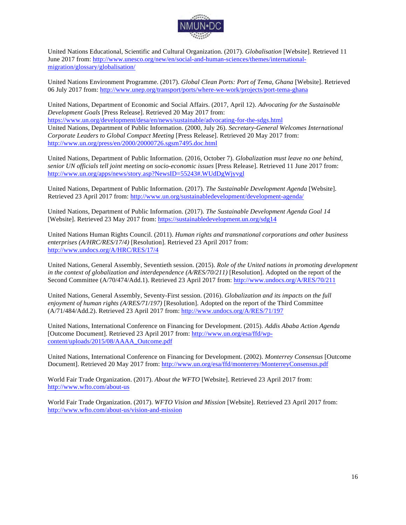

United Nations Educational, Scientific and Cultural Organization. (2017). *Globalisation* [Website]. Retrieved 11 June 2017 from: http://www.unesco.org/new/en/social-and-human-sciences/themes/internationalmigration/glossary/globalisation/

United Nations Environment Programme. (2017). *Global Clean Ports: Port of Tema, Ghana* [Website]. Retrieved 06 July 2017 from: http://www.unep.org/transport/ports/where-we-work/projects/port-tema-ghana

United Nations, Department of Economic and Social Affairs. (2017, April 12). *Advocating for the Sustainable Development Goals* [Press Release]. Retrieved 20 May 2017 from: https://www.un.org/development/desa/en/news/sustainable/advocating-for-the-sdgs.html United Nations, Department of Public Information. (2000, July 26). *Secretary-General Welcomes International Corporate Leaders to Global Compact Meeting* [Press Release]. Retrieved 20 May 2017 from: http://www.un.org/press/en/2000/20000726.sgsm7495.doc.html

United Nations, Department of Public Information. (2016, October 7). *Globalization must leave no one behind, senior UN officials tell joint meeting on socio-economic issues* [Press Release]. Retrieved 11 June 2017 from: http://www.un.org/apps/news/story.asp?NewsID=55243#.WUdDgWjyvgl

United Nations, Department of Public Information. (2017). *The Sustainable Development Agenda* [Website]. Retrieved 23 April 2017 from: http://www.un.org/sustainabledevelopment/development-agenda/

United Nations, Department of Public Information. (2017). *The Sustainable Development Agenda Goal 14* [Website]. Retrieved 23 May 2017 from: https://sustainabledevelopment.un.org/sdg14

United Nations Human Rights Council. (2011). *Human rights and transnational corporations and other business enterprises (A/HRC/RES/17/4)* [Resolution]. Retrieved 23 April 2017 from: http://www.undocs.org/A/HRC/RES/17/4

United Nations, General Assembly, Seventieth session. (2015). *Role of the United nations in promoting development in the context of globalization and interdependence (A/RES/70/211)* [Resolution]. Adopted on the report of the Second Committee (A/70/474/Add.1). Retrieved 23 April 2017 from: http://www.undocs.org/A/RES/70/211

United Nations, General Assembly, Seventy-First session. (2016). *Globalization and its impacts on the full enjoyment of human rights (A/RES/71/197)* [Resolution]. Adopted on the report of the Third Committee (A/71/484/Add.2). Retrieved 23 April 2017 from: http://www.undocs.org/A/RES/71/197

United Nations, International Conference on Financing for Development. (2015). *Addis Ababa Action Agenda*  [Outcome Document]. Retrieved 23 April 2017 from: http://www.un.org/esa/ffd/wpcontent/uploads/2015/08/AAAA\_Outcome.pdf

United Nations, International Conference on Financing for Development. (2002). *Monterrey Consensus* [Outcome Document]. Retrieved 20 May 2017 from: http://www.un.org/esa/ffd/monterrey/MonterreyConsensus.pdf

World Fair Trade Organization. (2017). *About the WFTO* [Website]. Retrieved 23 April 2017 from: http://www.wfto.com/about-us

World Fair Trade Organization. (2017). *WFTO Vision and Mission* [Website]. Retrieved 23 April 2017 from: http://www.wfto.com/about-us/vision-and-mission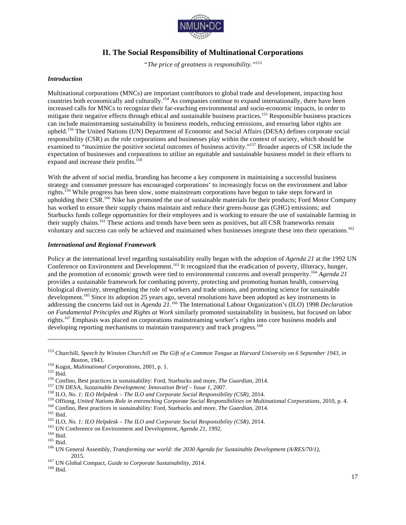

## **II. The Social Responsibility of Multinational Corporations**

*"The price of greatness is responsibility."*<sup>153</sup>

#### *Introduction*

Multinational corporations (MNCs) are important contributors to global trade and development, impacting host countries both economically and culturally.<sup>154</sup> As companies continue to expand internationally, there have been increased calls for MNCs to recognize their far-reaching environmental and socio-economic impacts, in order to mitigate their negative effects through ethical and sustainable business practices.<sup>155</sup> Responsible business practices can include mainstreaming sustainability in business models, reducing emissions, and ensuring labor rights are upheld. <sup>156</sup> The United Nations (UN) Department of Economic and Social Affairs (DESA) defines corporate social responsibility (CSR) as the role corporations and businesses play within the context of society, which should be examined to "maximize the positive societal outcomes of business activity."157 Broader aspects of CSR include the expectation of businesses and corporations to utilize an equitable and sustainable business model in their efforts to expand and increase their profits.<sup>1</sup>

With the advent of social media, branding has become a key component in maintaining a successful business strategy and consumer pressure has encouraged corporations' to increasingly focus on the environment and labor rights.159 While progress has been slow, some mainstream corporations have begun to take steps forward in upholding their CSR.<sup>160</sup> Nike has promoted the use of sustainable materials for their products; Ford Motor Company has worked to ensure their supply chains maintain and reduce their green-house gas (GHG) emissions; and Starbucks funds college opportunities for their employees and is working to ensure the use of sustainable farming in their supply chains.<sup>161</sup> These actions and trends have been seen as positives, but all CSR frameworks remain voluntary and success can only be achieved and maintained when businesses integrate these into their operations. 162

#### *International and Regional Framework*

Policy at the international level regarding sustainability really began with the adoption of *Agenda 21* at the 1992 UN Conference on Environment and Development.<sup>163</sup> It recognized that the eradication of poverty, illiteracy, hunger, and the promotion of economic growth were tied to environmental concerns and overall prosperity. <sup>164</sup> *Agenda 21* provides a sustainable framework for combating poverty, protecting and promoting human health, conserving biological diversity, strengthening the role of workers and trade unions, and promoting science for sustainable development.<sup>165</sup> Since its adoption 25 years ago, several resolutions have been adopted as key instruments in addressing the concerns laid out in *Agenda 21*. <sup>166</sup> The International Labour Organization's (ILO) 1998 *Declaration on Fundamental Principles and Rights at Work* similarly promoted sustainability in business, but focused on labor rights.167 Emphasis was placed on corporations mainstreaming worker's rights into core business models and developing reporting mechanisms to maintain transparency and track progress.<sup>168</sup>

<sup>153</sup> Churchill, *Speech by Winston Churchill on The Gift of a Common Tongue at Harvard University on 6 September 1943, in*  Boston, 1943.<br><sup>154</sup> Kogut, *Multinational Corporations*, 2001, p. 1.<br><sup>155</sup> Ebid.<br><sup>156</sup> Confino, Best practices in sustainability: Ford, Starbucks and more, *The Guardian*, 2014.<br><sup>157</sup> UN DESA, *Sustainable Development: Inn* 

<sup>2015.</sup> <sup>167</sup> UN Global Compact, *Guide to Corporate Sustainability*, 2014. <sup>168</sup> Ibid.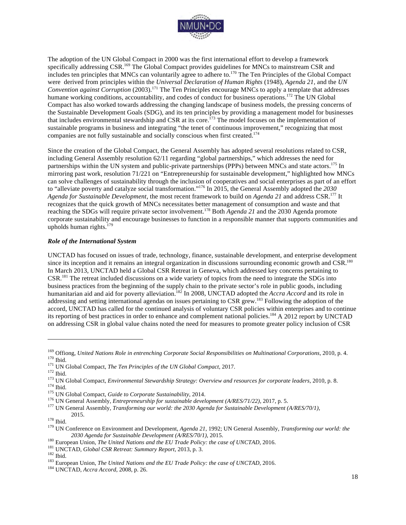

The adoption of the UN Global Compact in 2000 was the first international effort to develop a framework specifically addressing CSR.<sup>169</sup> The Global Compact provides guidelines for MNCs to mainstream CSR and includes ten principles that MNCs can voluntarily agree to adhere to. <sup>170</sup> The Ten Principles of the Global Compact were derived from principles within the *Universal Declaration of Human Rights* (1948), *Agenda 21,* and the *UN Convention against Corruption* (2003).<sup>171</sup> The Ten Principles encourage MNCs to apply a template that addresses humane working conditions, accountability, and codes of conduct for business operations.<sup>172</sup> The UN Global Compact has also worked towards addressing the changing landscape of business models, the pressing concerns of the Sustainable Development Goals (SDG), and its ten principles by providing a management model for businesses that includes environmental stewardship and CSR at its core.<sup>173</sup> The model focuses on the implementation of sustainable programs in business and integrating "the tenet of continuous improvement," recognizing that most companies are not fully sustainable and socially conscious when first created.<sup>174</sup>

Since the creation of the Global Compact, the General Assembly has adopted several resolutions related to CSR, including General Assembly resolution 62/11 regarding "global partnerships," which addresses the need for partnerships within the UN system and public-private partnerships (PPPs) between MNCs and state actors.<sup>175</sup> In mirroring past work, resolution 71/221 on "Entrepreneurship for sustainable development," highlighted how MNCs can solve challenges of sustainability through the inclusion of cooperatives and social enterprises as part of an effort to "alleviate poverty and catalyze social transformation."<sup>176</sup> In 2015, the General Assembly adopted the *2030 Agenda for Sustainable Development*, the most recent framework to build on *Agenda 21* and address CSR.177 It recognizes that the quick growth of MNCs necessitates better management of consumption and waste and that reaching the SDGs will require private sector involvement. <sup>178</sup> Both *Agenda 21* and the 2030 Agenda promote corporate sustainability and encourage businesses to function in a responsible manner that supports communities and upholds human rights. $179$ 

#### *Role of the International System*

UNCTAD has focused on issues of trade, technology, finance, sustainable development, and enterprise development since its inception and it remains an integral organization in discussions surrounding economic growth and CSR.<sup>180</sup> In March 2013, UNCTAD held a Global CSR Retreat in Geneva, which addressed key concerns pertaining to CSR.<sup>181</sup> The retreat included discussions on a wide variety of topics from the need to integrate the SDGs into business practices from the beginning of the supply chain to the private sector's role in public goods, including humanitarian aid and aid for poverty alleviation. <sup>182</sup> In 2008, UNCTAD adopted the *Accra Accord* and its role in addressing and setting international agendas on issues pertaining to CSR grew.<sup>183</sup> Following the adoption of the accord, UNCTAD has called for the continued analysis of voluntary CSR policies within enterprises and to continue its reporting of best practices in order to enhance and complement national policies.<sup>184</sup> A 2012 report by UNCTAD on addressing CSR in global value chains noted the need for measures to promote greater policy inclusion of CSR

<sup>&</sup>lt;sup>169</sup> Offiong, *United Nations Role in entrenching Corporate Social Responsibilities on Multinational Corporations, 2010, p. 4.<br><sup>170</sup> Ibid.<br><sup>171</sup> UN Global Compact, <i>The Ten Principles of the UN Global Compact*, 2017.<br><sup>17</sup>

<sup>2015.</sup> <sup>178</sup> Ibid. <sup>179</sup> UN Conference on Environment and Development, *Agenda 21*, 1992; UN General Assembly, *Transforming our world: the* 

<sup>2030</sup> Agenda for Sustainable Development (A/RES/70/1), 2015.<br><sup>180</sup> European Union, *The United Nations and the EU Trade Policy: the case of UNCTAD*, 2016.<br><sup>181</sup> UNCTAD, *Global CSR Retreat: Summary Report*, 2013, p. 3.<br><sup>18</sup>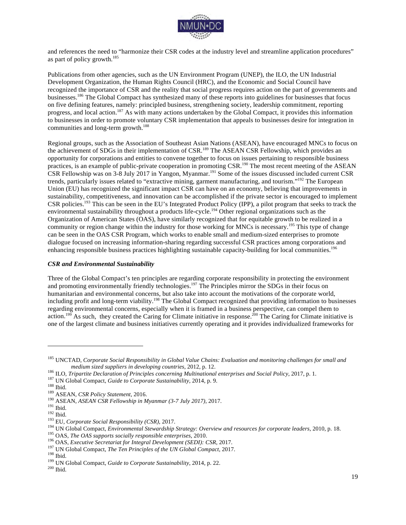

and references the need to "harmonize their CSR codes at the industry level and streamline application procedures" as part of policy growth. $185$ 

Publications from other agencies, such as the UN Environment Program (UNEP), the ILO, the UN Industrial Development Organization, the Human Rights Council (HRC), and the Economic and Social Council have recognized the importance of CSR and the reality that social progress requires action on the part of governments and businesses.<sup>186</sup> The Global Compact has synthesized many of these reports into guidelines for businesses that focus on five defining features, namely: principled business, strengthening society, leadership commitment, reporting progress, and local action.<sup>187</sup> As with many actions undertaken by the Global Compact, it provides this information to businesses in order to promote voluntary CSR implementation that appeals to businesses desire for integration in communities and long-term growth. 188

Regional groups, such as the Association of Southeast Asian Nations (ASEAN), have encouraged MNCs to focus on the achievement of SDGs in their implementation of CSR.<sup>189</sup> The ASEAN CSR Fellowship, which provides an opportunity for corporations and entities to convene together to focus on issues pertaining to responsible business practices, is an example of public-private cooperation in promoting CSR.<sup>190</sup> The most recent meeting of the ASEAN CSR Fellowship was on 3-8 July 2017 in Yangon, Myanmar.<sup>191</sup> Some of the issues discussed included current CSR trends, particularly issues related to "extractive mining, garment manufacturing, and tourism."<sup>192</sup> The European Union (EU) has recognized the significant impact CSR can have on an economy, believing that improvements in sustainability, competitiveness, and innovation can be accomplished if the private sector is encouraged to implement CSR policies.<sup>193</sup> This can be seen in the EU's Integrated Product Policy (IPP), a pilot program that seeks to track the environmental sustainability throughout a products life-cycle.<sup>194</sup> Other regional organizations such as the Organization of American States (OAS), have similarly recognized that for equitable growth to be realized in a community or region change within the industry for those working for MNCs is necessary.<sup>195</sup> This type of change can be seen in the OAS CSR Program, which works to enable small and medium-sized enterprises to promote dialogue focused on increasing information-sharing regarding successful CSR practices among corporations and enhancing responsible business practices highlighting sustainable capacity-building for local communities.<sup>196</sup>

#### *CSR and Environmental Sustainability*

Three of the Global Compact's ten principles are regarding corporate responsibility in protecting the environment and promoting environmentally friendly technologies.<sup>197</sup> The Principles mirror the SDGs in their focus on humanitarian and environmental concerns, but also take into account the motivations of the corporate world, including profit and long-term viability.<sup>198</sup> The Global Compact recognized that providing information to businesses regarding environmental concerns, especially when it is framed in a business perspective, can compel them to action.<sup>199</sup> As such, they created the Caring for Climate initiative in response.<sup>200</sup> The Caring for Climate initiative is one of the largest climate and business initiatives currently operating and it provides individualized frameworks for

<sup>185</sup> UNCTAD, *Corporate Social Responsibility in Global Value Chains: Evaluation and monitoring challenges for small and* 

medium sized suppliers in developing countries, 2012, p. 12.<br><sup>187</sup> ILO, *Tripartite Declaration of Principles concerning Multinational enterprises and Social Policy*, 2017, p. 1.<br><sup>187</sup> IUN Global Compact, *Guide to Corpora*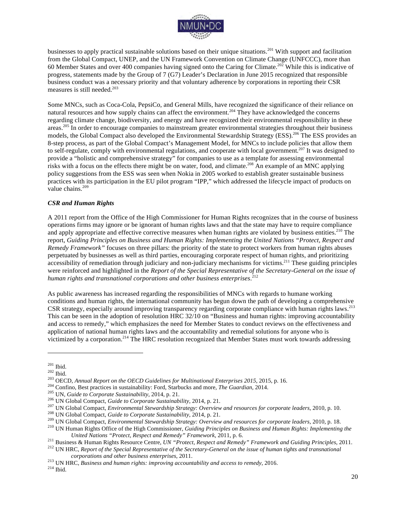

businesses to apply practical sustainable solutions based on their unique situations. <sup>201</sup> With support and facilitation from the Global Compact, UNEP, and the UN Framework Convention on Climate Change (UNFCCC), more than 60 Member States and over 400 companies having signed onto the Caring for Climate.<sup>202</sup> While this is indicative of progress, statements made by the Group of 7 (G7) Leader's Declaration in June 2015 recognized that responsible business conduct was a necessary priority and that voluntary adherence by corporations in reporting their CSR measures is still needed. 203

Some MNCs, such as Coca-Cola, PepsiCo, and General Mills, have recognized the significance of their reliance on natural resources and how supply chains can affect the environment.<sup>204</sup> They have acknowledged the concerns regarding climate change, biodiversity, and energy and have recognized their environmental responsibility in these areas.<sup>205</sup> In order to encourage companies to mainstream greater environmental strategies throughout their business models, the Global Compact also developed the Environmental Stewardship Strategy (ESS).<sup>206</sup> The ESS provides an 8-step process, as part of the Global Compact's Management Model, for MNCs to include policies that allow them to self-regulate, comply with environmental regulations, and cooperate with local government.<sup>207</sup> It was designed to provide a "holistic and comprehensive strategy" for companies to use as a template for assessing environmental risks with a focus on the effects there might be on water, food, and climate.208 An example of an MNC applying policy suggestions from the ESS was seen when Nokia in 2005 worked to establish greater sustainable business practices with its participation in the EU pilot program "IPP," which addressed the lifecycle impact of products on value chains. $209$ 

#### *CSR and Human Rights*

A 2011 report from the Office of the High Commissioner for Human Rights recognizes that in the course of business operations firms may ignore or be ignorant of human rights laws and that the state may have to require compliance and apply appropriate and effective corrective measures when human rights are violated by business entities.<sup>210</sup> The report, *Guiding Principles on Business and Human Rights: Implementing the United Nations "Protect, Respect and Remedy Framework"* focuses on three pillars: the priority of the state to protect workers from human rights abuses perpetuated by businesses as well as third parties, encouraging corporate respect of human rights, and prioritizing accessibility of remediation through judiciary and non-judiciary mechanisms for victims.<sup>211</sup> These guiding principles were reinforced and highlighted in the *Report of the Special Representative of the Secretary-General on the issue of human rights and transnational corporations and other business enterprises*. 212

As public awareness has increased regarding the responsibilities of MNCs with regards to humane working conditions and human rights, the international community has begun down the path of developing a comprehensive CSR strategy, especially around improving transparency regarding corporate compliance with human rights laws.<sup>213</sup> This can be seen in the adoption of resolution HRC 32/10 on "Business and human rights: improving accountability and access to remedy," which emphasizes the need for Member States to conduct reviews on the effectiveness and application of national human rights laws and the accountability and remedial solutions for anyone who is victimized by a corporation.<sup>214</sup> The HRC resolution recognized that Member States must work towards addressing

<sup>&</sup>lt;sup>201</sup> Ibid.<br><sup>202</sup> Ibid.<br><sup>202</sup> Ibid.<br><sup>203</sup> OECD, *Annual Report on the OECD Guidelines for Multinational Enterprises 2015*, 2015, p. 16.<br><sup>205</sup> Confino, Best practices in sustainability: Ford, Starbucks and more, *The Guard* 

United Nations "Protect, Respect and Remedy" Framework, 2011, p. 6.<br><sup>211</sup> Business & Human Rights Resource Centre, UN "Protect, Respect and Remedy" Framework and Guiding Principles, 2011.<br><sup>212</sup> UN HRC, Report of the Specia

<sup>&</sup>lt;sup>213</sup> UN HRC, *Business and human rights: improving accountability and access to remedy*, 2016.<br><sup>214</sup> Ibid.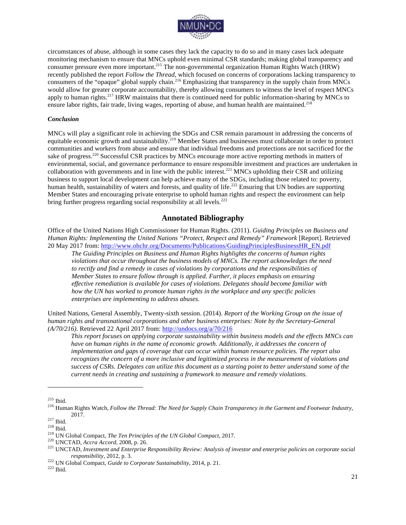

circumstances of abuse, although in some cases they lack the capacity to do so and in many cases lack adequate monitoring mechanism to ensure that MNCs uphold even minimal CSR standards; making global transparency and consumer pressure even more important.<sup>215</sup> The non-governmental organization Human Rights Watch (HRW) recently published the report *Follow the Thread*, which focused on concerns of corporations lacking transparency to consumers of the "opaque" global supply chain.<sup>216</sup> Emphasizing that transparency in the supply chain from MNCs would allow for greater corporate accountability, thereby allowing consumers to witness the level of respect MNCs apply to human rights.<sup>217</sup> HRW maintains that there is continued need for public information-sharing by MNCs to ensure labor rights, fair trade, living wages, reporting of abuse, and human health are maintained.<sup>218</sup>

#### *Conclusion*

MNCs will play a significant role in achieving the SDGs and CSR remain paramount in addressing the concerns of equitable economic growth and sustainability.<sup>219</sup> Member States and businesses must collaborate in order to protect communities and workers from abuse and ensure that individual freedoms and protections are not sacrificed for the sake of progress.<sup>220</sup> Successful CSR practices by MNCs encourage more active reporting methods in matters of environmental, social, and governance performance to ensure responsible investment and practices are undertaken in collaboration with governments and in line with the public interest.<sup>221</sup> MNCs upholding their CSR and utilizing business to support local development can help achieve many of the SDGs, including those related to: poverty, human health, sustainability of waters and forests, and quality of life.<sup>222</sup> Ensuring that UN bodies are supporting Member States and encouraging private enterprise to uphold human rights and respect the environment can help bring further progress regarding social responsibility at all levels.<sup>223</sup>

## **Annotated Bibliography**

Office of the United Nations High Commissioner for Human Rights. (2011). *Guiding Principles on Business and Human Rights: Implementing the United Nations "Protect, Respect and Remedy" Framework* [Report]. Retrieved 20 May 2017 from: http://www.ohchr.org/Documents/Publications/GuidingPrinciplesBusinessHR\_EN.pdf

*The Guiding Principles on Business and Human Rights highlights the concerns of human rights violations that occur throughout the business models of MNCs. The report acknowledges the need to rectify and find a remedy in cases of violations by corporations and the responsibilities of Member States to ensure follow through is applied. Further, it places emphasis on ensuring effective remediation is available for cases of violations. Delegates should become familiar with how the UN has worked to promote human rights in the workplace and any specific policies enterprises are implementing to address abuses.*

United Nations, General Assembly, Twenty-sixth session. (2014). *Report of the Working Group on the issue of human rights and transnational corporations and other business enterprises: Note by the Secretary-General (A/70/216)*. Retrieved 22 April 2017 from: http://undocs.org/a/70/216

*This report focuses on applying corporate sustainability within business models and the effects MNCs can have on human rights in the name of economic growth. Additionally, it addresses the concern of implementation and gaps of coverage that can occur within human resource policies. The report also recognizes the concern of a more inclusive and legitimized process in the measurement of violations and success of CSRs. Delegates can utilize this document as a starting point to better understand some of the current needs in creating and sustaining a framework to measure and remedy violations.*

<sup>215</sup> Ibid. 216 Human Rights Watch, *Follow the Thread: The Need for Supply Chain Transparency in the Garment and Footwear Industry*,

<sup>2017.&</sup>lt;br>
217 Ibid.<br>
218 Ibid.<br>
219 UN Global Compact, *The Ten Principles of the UN Global Compact*, 2017.<br>
220 UNCTAD, *Accra Accord*, 2008, p. 26.<br>
221 UNCTAD, *Investment and Enterprise Responsibility Review: Analysis of* 

*responsibility*, 2012, p. 3. <sup>222</sup> UN Global Compact, *Guide to Corporate Sustainability*, 2014, p. 21. <sup>223</sup> Ibid.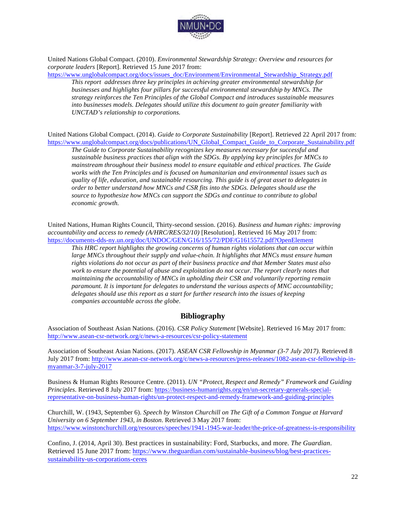

United Nations Global Compact. (2010). *Environmental Stewardship Strategy: Overview and resources for corporate leaders* [Report]. Retrieved 15 June 2017 from:

https://www.unglobalcompact.org/docs/issues\_doc/Environment/Environmental\_Stewardship\_Strategy.pdf

*This report addresses three key principles in achieving greater environmental stewardship for businesses and highlights four pillars for successful environmental stewardship by MNCs. The strategy reinforces the Ten Principles of the Global Compact and introduces sustainable measures into businesses models. Delegates should utilize this document to gain greater familiarity with UNCTAD's relationship to corporations.*

United Nations Global Compact. (2014). *Guide to Corporate Sustainability* [Report]. Retrieved 22 April 2017 from: https://www.unglobalcompact.org/docs/publications/UN\_Global\_Compact\_Guide\_to\_Corporate\_Sustainability.pdf

*The Guide to Corporate Sustainability recognizes key measures necessary for successful and sustainable business practices that align with the SDGs. By applying key principles for MNCs to mainstream throughout their business model to ensure equitable and ethical practices. The Guide works with the Ten Principles and is focused on humanitarian and environmental issues such as quality of life, education, and sustainable resourcing. This guide is of great asset to delegates in order to better understand how MNCs and CSR fits into the SDGs. Delegates should use the source to hypothesize how MNCs can support the SDGs and continue to contribute to global economic growth.*

United Nations, Human Rights Council, Thirty-second session. (2016). *Business and human rights: improving accountability and access to remedy (A/HRC/RES/32/10)* [Resolution]. Retrieved 16 May 2017 from: https://documents-dds-ny.un.org/doc/UNDOC/GEN/G16/155/72/PDF/G1615572.pdf?OpenElement

*This HRC report highlights the growing concerns of human rights violations that can occur within large MNCs throughout their supply and value-chain. It highlights that MNCs must ensure human rights violations do not occur as part of their business practice and that Member States must also work to ensure the potential of abuse and exploitation do not occur. The report clearly notes that maintaining the accountability of MNCs in upholding their CSR and voluntarily reporting remain paramount. It is important for delegates to understand the various aspects of MNC accountability; delegates should use this report as a start for further research into the issues of keeping companies accountable across the globe.*

### **Bibliography**

Association of Southeast Asian Nations. (2016). *CSR Policy Statement* [Website]. Retrieved 16 May 2017 from: http://www.asean-csr-network.org/c/news-a-resources/csr-policy-statement

Association of Southeast Asian Nations. (2017). *ASEAN CSR Fellowship in Myanmar (3-7 July 2017)*. Retrieved 8 July 2017 from: http://www.asean-csr-network.org/c/news-a-resources/press-releases/1082-asean-csr-fellowship-inmyanmar-3-7-july-2017

Business & Human Rights Resource Centre. (2011). *UN "Protect, Respect and Remedy" Framework and Guiding Principles*. Retrieved 8 July 2017 from: https://business-humanrights.org/en/un-secretary-generals-specialrepresentative-on-business-human-rights/un-protect-respect-and-remedy-framework-and-guiding-principles

Churchill, W. (1943, September 6). *Speech by Winston Churchill on The Gift of a Common Tongue at Harvard University on 6 September 1943, in Boston*. Retrieved 3 May 2017 from: https://www.winstonchurchill.org/resources/speeches/1941-1945-war-leader/the-price-of-greatness-is-responsibility

Confino, J. (2014, April 30). Best practices in sustainability: Ford, Starbucks, and more. *The Guardian*. Retrieved 15 June 2017 from: https://www.theguardian.com/sustainable-business/blog/best-practicessustainability-us-corporations-ceres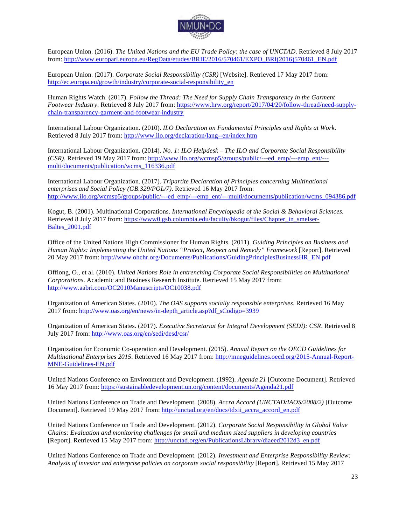

European Union. (2016). *The United Nations and the EU Trade Policy: the case of UNCTAD*. Retrieved 8 July 2017 from: http://www.europarl.europa.eu/RegData/etudes/BRIE/2016/570461/EXPO\_BRI(2016)570461\_EN.pdf

European Union. (2017). *Corporate Social Responsibility (CSR)* [Website]. Retrieved 17 May 2017 from: http://ec.europa.eu/growth/industry/corporate-social-responsibility\_en

Human Rights Watch. (2017). *Follow the Thread: The Need for Supply Chain Transparency in the Garment Footwear Industry*. Retrieved 8 July 2017 from: https://www.hrw.org/report/2017/04/20/follow-thread/need-supplychain-transparency-garment-and-footwear-industry

International Labour Organization. (2010). *ILO Declaration on Fundamental Principles and Rights at Work*. Retrieved 8 July 2017 from: http://www.ilo.org/declaration/lang--en/index.htm

International Labour Organization. (2014). *No. 1: ILO Helpdesk – The ILO and Corporate Social Responsibility (CSR)*. Retrieved 19 May 2017 from: http://www.ilo.org/wcmsp5/groups/public/---ed\_emp/---emp\_ent/-- multi/documents/publication/wcms\_116336.pdf

International Labour Organization. (2017). *Tripartite Declaration of Principles concerning Multinational enterprises and Social Policy (GB.329/POL/7)*. Retrieved 16 May 2017 from: http://www.ilo.org/wcmsp5/groups/public/---ed\_emp/---emp\_ent/---multi/documents/publication/wcms\_094386.pdf

Kogut, B. (2001). Multinational Corporations. *International Encyclopedia of the Social & Behavioral Sciences*. Retrieved 8 July 2017 from: https://www0.gsb.columbia.edu/faculty/bkogut/files/Chapter\_in\_smelser-Baltes\_2001.pdf

Office of the United Nations High Commissioner for Human Rights. (2011). *Guiding Principles on Business and Human Rights: Implementing the United Nations "Protect, Respect and Remedy" Framework* [Report]. Retrieved 20 May 2017 from: http://www.ohchr.org/Documents/Publications/GuidingPrinciplesBusinessHR\_EN.pdf

Offiong, O., et al. (2010). *United Nations Role in entrenching Corporate Social Responsibilities on Multinational Corporations*. Academic and Business Research Institute. Retrieved 15 May 2017 from: http://www.aabri.com/OC2010Manuscripts/OC10038.pdf

Organization of American States. (2010). *The OAS supports socially responsible enterprises*. Retrieved 16 May 2017 from: http://www.oas.org/en/news/in-depth\_article.asp?df\_sCodigo=3939

Organization of American States. (2017). *Executive Secretariat for Integral Development (SEDI): CSR*. Retrieved 8 July 2017 from: http://www.oas.org/en/sedi/desd/csr/

Organization for Economic Co-operation and Development. (2015). *Annual Report on the OECD Guidelines for Multinational Enterprises 2015*. Retrieved 16 May 2017 from: http://mneguidelines.oecd.org/2015-Annual-Report-MNE-Guidelines-EN.pdf

United Nations Conference on Environment and Development. (1992). *Agenda 21* [Outcome Document]. Retrieved 16 May 2017 from: https://sustainabledevelopment.un.org/content/documents/Agenda21.pdf

United Nations Conference on Trade and Development. (2008). *Accra Accord (UNCTAD/IAOS/2008/2)* [Outcome Document]. Retrieved 19 May 2017 from: http://unctad.org/en/docs/tdxii\_accra\_accord\_en.pdf

United Nations Conference on Trade and Development. (2012). *Corporate Social Responsibility in Global Value Chains: Evaluation and monitoring challenges for small and medium sized suppliers in developing countries* [Report]. Retrieved 15 May 2017 from: http://unctad.org/en/PublicationsLibrary/diaeed2012d3\_en.pdf

United Nations Conference on Trade and Development. (2012). *Investment and Enterprise Responsibility Review: Analysis of investor and enterprise policies on corporate social responsibility* [Report]. Retrieved 15 May 2017